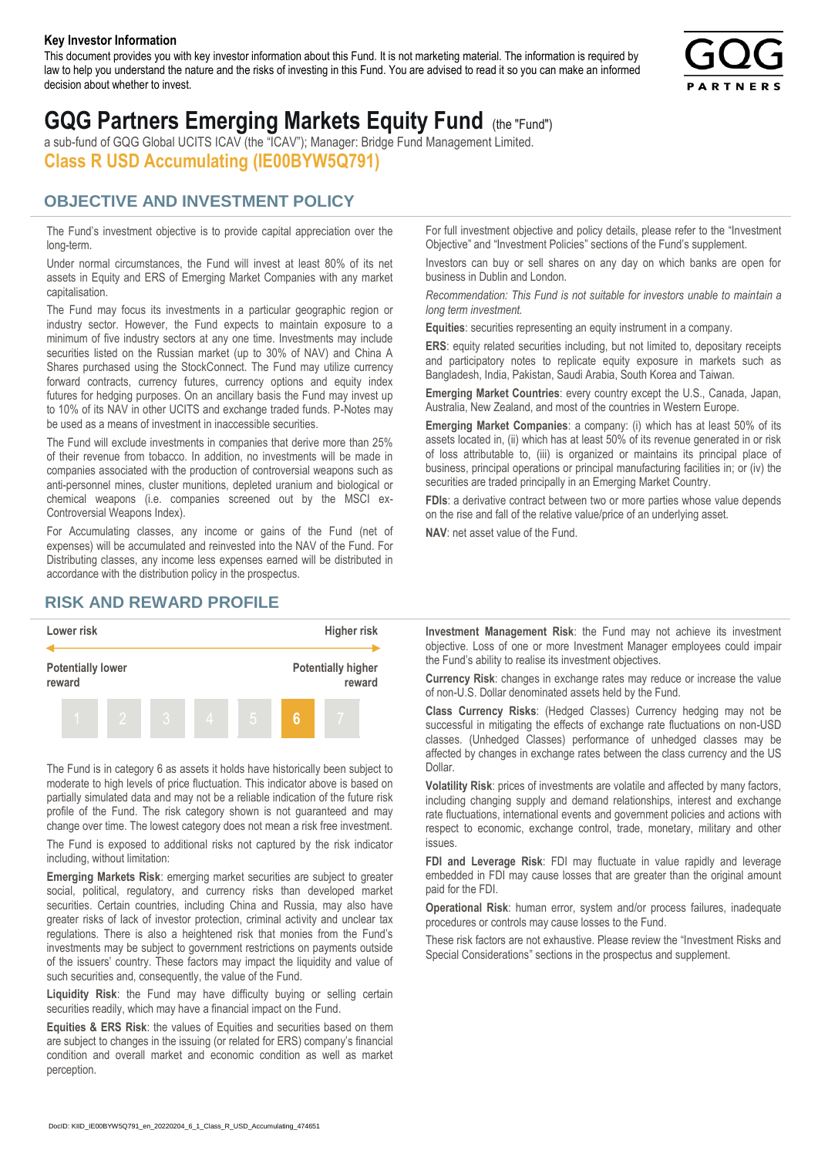#### **Key Investor Information**

This document provides you with key investor information about this Fund. It is not marketing material. The information is required by law to help you understand the nature and the risks of investing in this Fund. You are advised to read it so you can make an informed decision about whether to invest.



# **GQG Partners Emerging Markets Equity Fund** (the "Fund")

a sub-fund of GQG Global UCITS ICAV (the "ICAV"); Manager: Bridge Fund Management Limited. **Class R USD Accumulating (IE00BYW5Q791)**

### **OBJECTIVE AND INVESTMENT POLICY**

The Fund's investment objective is to provide capital appreciation over the long-term.

Under normal circumstances, the Fund will invest at least 80% of its net assets in Equity and ERS of Emerging Market Companies with any market capitalisation.

The Fund may focus its investments in a particular geographic region or industry sector. However, the Fund expects to maintain exposure to a minimum of five industry sectors at any one time. Investments may include securities listed on the Russian market (up to 30% of NAV) and China A Shares purchased using the StockConnect. The Fund may utilize currency forward contracts, currency futures, currency options and equity index futures for hedging purposes. On an ancillary basis the Fund may invest up to 10% of its NAV in other UCITS and exchange traded funds. P-Notes may be used as a means of investment in inaccessible securities.

The Fund will exclude investments in companies that derive more than 25% of their revenue from tobacco. In addition, no investments will be made in companies associated with the production of controversial weapons such as anti-personnel mines, cluster munitions, depleted uranium and biological or chemical weapons (i.e. companies screened out by the MSCI ex-Controversial Weapons Index).

For Accumulating classes, any income or gains of the Fund (net of expenses) will be accumulated and reinvested into the NAV of the Fund. For Distributing classes, any income less expenses earned will be distributed in accordance with the distribution policy in the prospectus.

## **RISK AND REWARD PROFILE**



The Fund is in category 6 as assets it holds have historically been subject to moderate to high levels of price fluctuation. This indicator above is based on partially simulated data and may not be a reliable indication of the future risk profile of the Fund. The risk category shown is not guaranteed and may change over time. The lowest category does not mean a risk free investment.

The Fund is exposed to additional risks not captured by the risk indicator including, without limitation:

**Emerging Markets Risk**: emerging market securities are subject to greater social, political, regulatory, and currency risks than developed market securities. Certain countries, including China and Russia, may also have greater risks of lack of investor protection, criminal activity and unclear tax regulations. There is also a heightened risk that monies from the Fund's investments may be subject to government restrictions on payments outside of the issuers' country. These factors may impact the liquidity and value of such securities and, consequently, the value of the Fund.

**Liquidity Risk**: the Fund may have difficulty buying or selling certain securities readily, which may have a financial impact on the Fund.

**Equities & ERS Risk**: the values of Equities and securities based on them are subject to changes in the issuing (or related for ERS) company's financial condition and overall market and economic condition as well as market perception.

For full investment objective and policy details, please refer to the "Investment Objective" and "Investment Policies" sections of the Fund's supplement.

Investors can buy or sell shares on any day on which banks are open for business in Dublin and London.

*Recommendation: This Fund is not suitable for investors unable to maintain a long term investment.*

**Equities**: securities representing an equity instrument in a company.

**ERS:** equity related securities including, but not limited to, depositary receipts and participatory notes to replicate equity exposure in markets such as Bangladesh, India, Pakistan, Saudi Arabia, South Korea and Taiwan.

**Emerging Market Countries**: every country except the U.S., Canada, Japan, Australia, New Zealand, and most of the countries in Western Europe.

**Emerging Market Companies**: a company: (i) which has at least 50% of its assets located in, (ii) which has at least 50% of its revenue generated in or risk of loss attributable to, (iii) is organized or maintains its principal place of business, principal operations or principal manufacturing facilities in; or (iv) the securities are traded principally in an Emerging Market Country.

**FDIs**: a derivative contract between two or more parties whose value depends on the rise and fall of the relative value/price of an underlying asset.

**NAV**: net asset value of the Fund.

**Investment Management Risk**: the Fund may not achieve its investment objective. Loss of one or more Investment Manager employees could impair the Fund's ability to realise its investment objectives.

**Currency Risk**: changes in exchange rates may reduce or increase the value of non-U.S. Dollar denominated assets held by the Fund.

**Class Currency Risks**: (Hedged Classes) Currency hedging may not be successful in mitigating the effects of exchange rate fluctuations on non-USD classes. (Unhedged Classes) performance of unhedged classes may be affected by changes in exchange rates between the class currency and the US Dollar.

**Volatility Risk**: prices of investments are volatile and affected by many factors, including changing supply and demand relationships, interest and exchange rate fluctuations, international events and government policies and actions with respect to economic, exchange control, trade, monetary, military and other issues.

**FDI and Leverage Risk**: FDI may fluctuate in value rapidly and leverage embedded in FDI may cause losses that are greater than the original amount paid for the FDI.

**Operational Risk**: human error, system and/or process failures, inadequate procedures or controls may cause losses to the Fund.

These risk factors are not exhaustive. Please review the "Investment Risks and Special Considerations" sections in the prospectus and supplement.